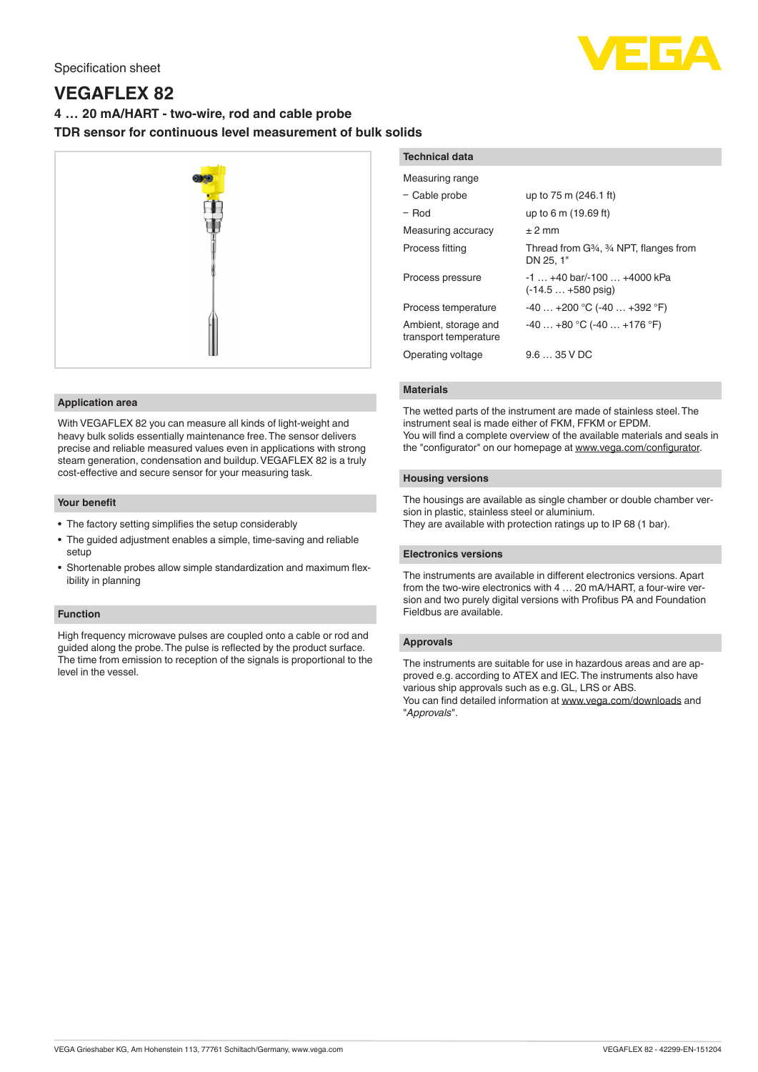# Specification sheet

# **VEGAFLEX 82**

# **4 … 20 mA/HART - two-wire, rod and cable probe TDR sensor for continuous level measurement of bulk solids**



# **Application area**

With VEGAFLEX 82 you can measure all kinds of light-weight and heavy bulk solids essentially maintenance free. The sensor delivers precise and reliable measured values even in applications with strong steam generation, condensation and buildup. VEGAFLEX 82 is a truly cost-effective and secure sensor for your measuring task.

#### **Your benefit**

- The factory setting simplifies the setup considerably
- The guided adjustment enables a simple, time-saving and reliable setup
- Shortenable probes allow simple standardization and maximum flexibility in planning

# **Function**

High frequency microwave pulses are coupled onto a cable or rod and guided along the probe. The pulse is reflected by the product surface. The time from emission to reception of the signals is proportional to the level in the vessel.

| <b>Technical data</b>                         |                                                                                                     |
|-----------------------------------------------|-----------------------------------------------------------------------------------------------------|
| Measuring range                               |                                                                                                     |
| - Cable probe                                 | up to 75 m (246.1 ft)                                                                               |
| $-$ Rod                                       | up to 6 m (19.69 ft)                                                                                |
| Measuring accuracy                            | $+2$ mm                                                                                             |
| Process fitting                               | Thread from G <sub>3</sub> <sup>4</sup> , <sup>3</sup> / <sub>4</sub> NPT, flanges from<br>DN 25.1" |
| Process pressure                              | $-1$ $+40$ bar/ $-100$ $+4000$ kPa<br>$(-14.5 + 580$ psig)                                          |
| Process temperature                           | $-40+200$ °C (-40 $+392$ °F)                                                                        |
| Ambient, storage and<br>transport temperature | $-40+80$ °C (-40  +176 °F)                                                                          |
| Operating voltage                             | $9.635$ V DC                                                                                        |

# **Materials**

The wetted parts of the instrument are made of stainless steel. The instrument seal is made either of FKM, FFKM or EPDM. You will find a complete overview of the available materials and seals in the "configurator" on our homepage at [www.vega.com/configurator](http://www.vega.com/configurator).

#### **Housing versions**

The housings are available as single chamber or double chamber version in plastic, stainless steel or aluminium. They are available with protection ratings up to IP 68 (1 bar).

# **Electronics versions**

The instruments are available in different electronics versions. Apart from the two-wire electronics with 4 … 20 mA/HART, a four-wire version and two purely digital versions with Profibus PA and Foundation Fieldbus are available.

#### **Approvals**

The instruments are suitable for use in hazardous areas and are approved e.g. according to ATEX and IEC. The instruments also have various ship approvals such as e.g. GL, LRS or ABS. You can find detailed information at [www.vega.com/downloads](http://www.vega.com/downloads) and "*Approvals*".